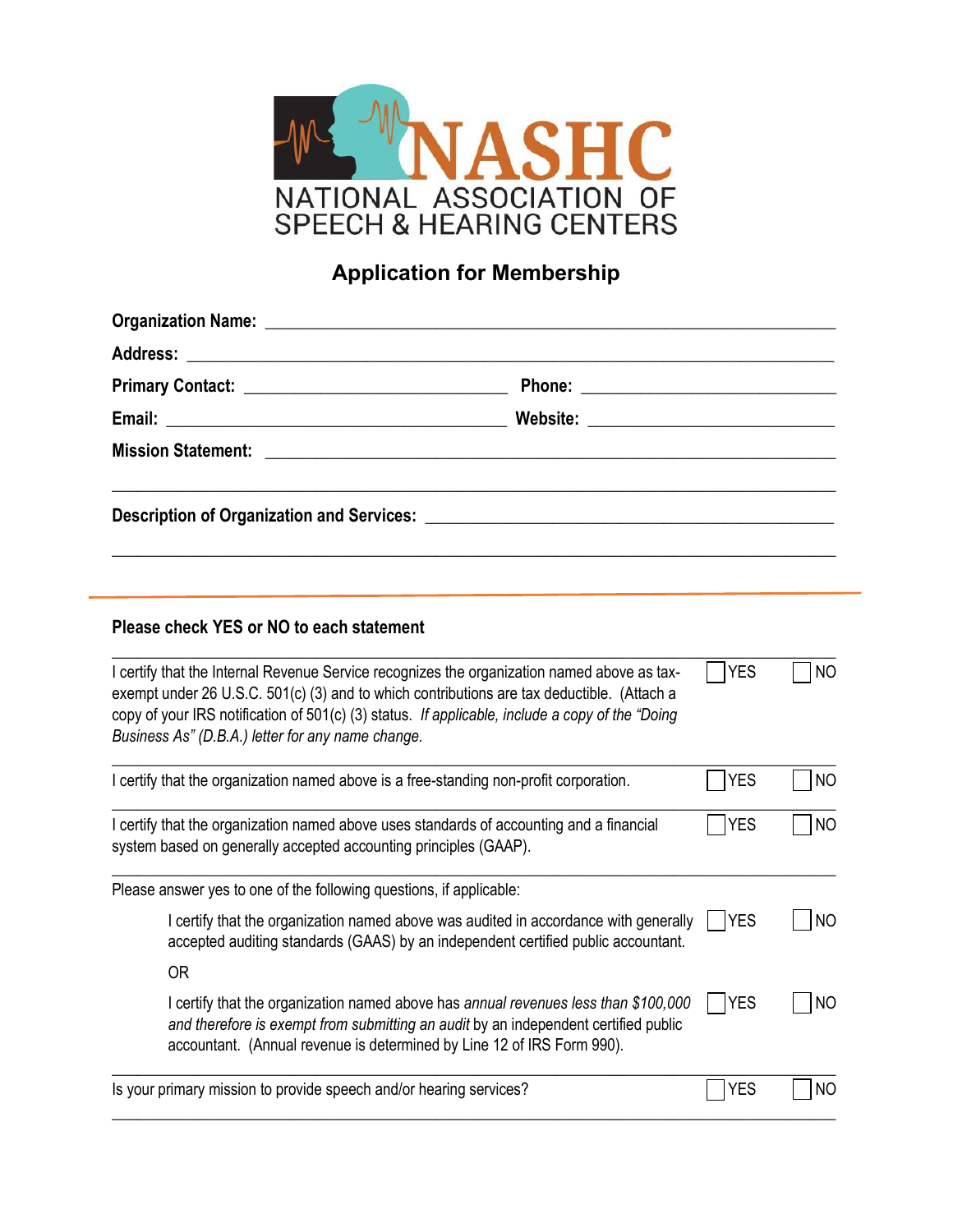

## **Application for Membership**

| <b>Address:</b><br><u> 1989 - Johann John Stein, mars an deus Amerikaansk kommunister (</u>                                                                                                                                                                                                                                                       |  |             |           |
|---------------------------------------------------------------------------------------------------------------------------------------------------------------------------------------------------------------------------------------------------------------------------------------------------------------------------------------------------|--|-------------|-----------|
|                                                                                                                                                                                                                                                                                                                                                   |  |             |           |
|                                                                                                                                                                                                                                                                                                                                                   |  |             |           |
| <b>Mission Statement:</b><br><u> 1980 - Jan Sterling Sterling (f. 1980)</u>                                                                                                                                                                                                                                                                       |  |             |           |
|                                                                                                                                                                                                                                                                                                                                                   |  |             |           |
| Please check YES or NO to each statement                                                                                                                                                                                                                                                                                                          |  |             |           |
| I certify that the Internal Revenue Service recognizes the organization named above as tax-<br>exempt under 26 U.S.C. 501(c) (3) and to which contributions are tax deductible. (Attach a<br>copy of your IRS notification of 501(c) (3) status. If applicable, include a copy of the "Doing<br>Business As" (D.B.A.) letter for any name change. |  | <b>YES</b>  | <b>NO</b> |
| I certify that the organization named above is a free-standing non-profit corporation.                                                                                                                                                                                                                                                            |  | <b>YES</b>  | <b>NO</b> |
| I certify that the organization named above uses standards of accounting and a financial<br>system based on generally accepted accounting principles (GAAP).                                                                                                                                                                                      |  | <b>YES</b>  | <b>NO</b> |
| Please answer yes to one of the following questions, if applicable:                                                                                                                                                                                                                                                                               |  |             |           |
| I certify that the organization named above was audited in accordance with generally<br>accepted auditing standards (GAAS) by an independent certified public accountant.                                                                                                                                                                         |  | YES         | <b>NO</b> |
| <b>OR</b>                                                                                                                                                                                                                                                                                                                                         |  |             |           |
| I certify that the organization named above has annual revenues less than \$100,000<br>and therefore is exempt from submitting an audit by an independent certified public<br>accountant. (Annual revenue is determined by Line 12 of IRS Form 990).                                                                                              |  | <b>PYES</b> | <b>NO</b> |
| Is your primary mission to provide speech and/or hearing services?                                                                                                                                                                                                                                                                                |  | <b>YES</b>  | <b>NO</b> |

**\_\_\_\_\_\_\_\_\_\_\_\_\_\_\_\_\_\_\_\_\_\_\_\_\_\_\_\_\_\_\_\_\_\_\_\_\_\_\_\_\_\_\_\_\_\_\_\_\_\_\_\_\_\_\_\_\_\_\_\_\_\_\_\_\_\_\_\_\_\_\_\_\_\_\_\_\_\_\_\_\_\_\_\_\_**